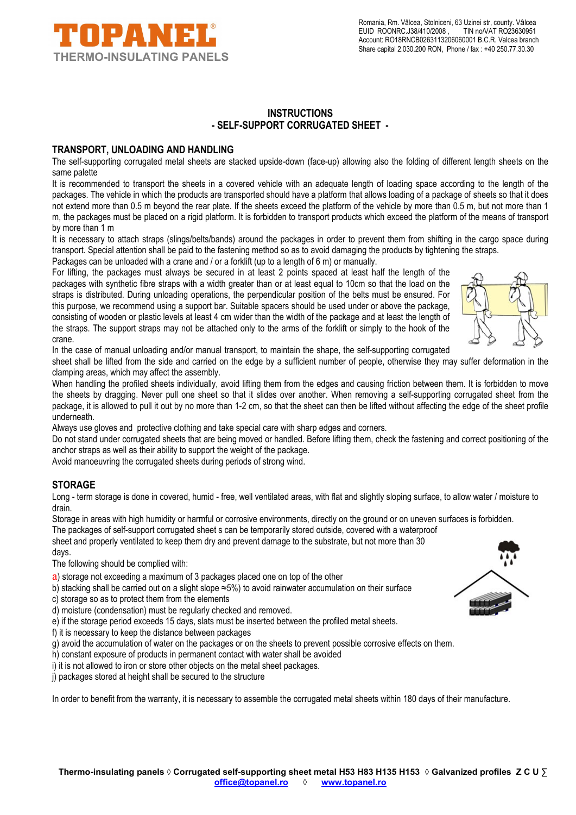

## **INSTRUCTIONS - SELF-SUPPORT CORRUGATED SHEET -**

### **TRANSPORT, UNLOADING AND HANDLING**

The self-supporting corrugated metal sheets are stacked upside-down (face-up) allowing also the folding of different length sheets on the same palette

It is recommended to transport the sheets in a covered vehicle with an adequate length of loading space according to the length of the packages. The vehicle in which the products are transported should have a platform that allows loading of a package of sheets so that it does not extend more than 0.5 m beyond the rear plate. If the sheets exceed the platform of the vehicle by more than 0.5 m, but not more than 1 m, the packages must be placed on a rigid platform. It is forbidden to transport products which exceed the platform of the means of transport by more than 1 m

It is necessary to attach straps (slings/belts/bands) around the packages in order to prevent them from shifting in the cargo space during transport. Special attention shall be paid to the fastening method so as to avoid damaging the products by tightening the straps.

Packages can be unloaded with a crane and / or a forklift (up to a length of 6 m) or manually.

For lifting, the packages must always be secured in at least 2 points spaced at least half the length of the packages with synthetic fibre straps with a width greater than or at least equal to 10cm so that the load on the straps is distributed. During unloading operations, the perpendicular position of the belts must be ensured. For this purpose, we recommend using a support bar. Suitable spacers should be used under or above the package, consisting of wooden or plastic levels at least 4 cm wider than the width of the package and at least the length of the straps. The support straps may not be attached only to the arms of the forklift or simply to the hook of the crane.



In the case of manual unloading and/or manual transport, to maintain the shape, the self-supporting corrugated

sheet shall be lifted from the side and carried on the edge by a sufficient number of people, otherwise they may suffer deformation in the clamping areas, which may affect the assembly.

When handling the profiled sheets individually, avoid lifting them from the edges and causing friction between them. It is forbidden to move the sheets by dragging. Never pull one sheet so that it slides over another. When removing a self-supporting corrugated sheet from the package, it is allowed to pull it out by no more than 1-2 cm, so that the sheet can then be lifted without affecting the edge of the sheet profile underneath.

Always use gloves and protective clothing and take special care with sharp edges and corners.

Do not stand under corrugated sheets that are being moved or handled. Before lifting them, check the fastening and correct positioning of the anchor straps as well as their ability to support the weight of the package.

Avoid manoeuvring the corrugated sheets during periods of strong wind.

# **STORAGE**

Long - term storage is done in covered, humid - free, well ventilated areas, with flat and slightly sloping surface, to allow water / moisture to drain.

Storage in areas with high humidity or harmful or corrosive environments, directly on the ground or on uneven surfaces is forbidden.

The packages of self-support corrugated sheet s can be temporarily stored outside, covered with a waterproof

sheet and properly ventilated to keep them dry and prevent damage to the substrate, but not more than 30 days.

The following should be complied with:

- a) storage not exceeding a maximum of 3 packages placed one on top of the other
- b) stacking shall be carried out on a slight slope ≈5%) to avoid rainwater accumulation on their surface
- c) storage so as to protect them from the elements
- d) moisture (condensation) must be regularly checked and removed.
- e) if the storage period exceeds 15 days, slats must be inserted between the profiled metal sheets.
- f) it is necessary to keep the distance between packages
- g) avoid the accumulation of water on the packages or on the sheets to prevent possible corrosive effects on them.
- h) constant exposure of products in permanent contact with water shall be avoided
- i) it is not allowed to iron or store other objects on the metal sheet packages.
- j) packages stored at height shall be secured to the structure

In order to benefit from the warranty, it is necessary to assemble the corrugated metal sheets within 180 days of their manufacture.